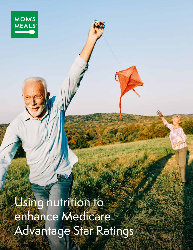Using nutrition to enhance Medicare Advantage Star Ratings

**MOM'S** 

**MEALS**®

1 USING NUTRITION TO ENHANCE MEDICARE ADVANTAGE STAR RATINGS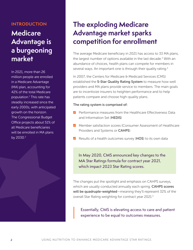#### **INTRODUCTION**

# **Medicare Advantage is a burgeoning market**

In 2021, more than 26 million people are enrolled in a Medicare Advantage (MA) plan, accounting for 42% of the total Medicare population.1 This rate has steadily increased since the early 2000s, with anticipated growth on the horizon. The Congressional Budget Office projects about 51% of all Medicare beneficiaries will be enrolled in MA plans by 2030.<sup>2</sup>

## **The exploding Medicare Advantage market sparks competition for enrollment**

The average Medicare beneficiary in 2021 has access to 33 MA plans, the largest number of options available in the last decade.<sup>3</sup> With an abundance of choices, health plans can compete for members in several ways. An important one is through their quality rating.<sup>4</sup>

In 2007, the Centers for Medicare & Medicaid Services (CMS) established the 5-Star Quality Rating System to measure how well providers and MA plans provide service to members. The main goals are to incentivize insurers to heighten performance and to help patients compare and choose high-quality plans.

#### The rating system is comprised of:

- Performance measures from the Healthcare Effectiveness Data and Information Set (HEDIS)
- Member satisfaction scores (Consumer Assessment of Healthcare Providers and Systems or CAHPS)
- Results of a health outcomes survey (HOS) to its own data

In May 2020, CMS announced key changes to the MA Star Ratings formula for contract year 2021, which impact 2023 Star Rating scores.

The changes put the spotlight and emphasis on CAHPS surveys, which are usually conducted annually each spring. **CAHPS scores** will be quadruple-weighted—meaning they'll represent 32% of the overall Star Rating weighting for contract year 2021.<sup>5</sup>

Essentially, CMS is elevating access to care and patient experience to be equal to outcomes measures.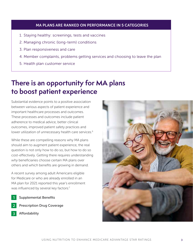#### MA PLANS ARE RANKED ON PERFORMANCE IN 5 CATEGORIES

- 1. Staying healthy: screenings, tests and vaccines
- 2. Managing chronic (long-term) conditions
- 3. Plan responsiveness and care
- 4. Member complaints, problems getting services and choosing to leave the plan
- 5. Health plan customer service

## **There is an opportunity for MA plans to boost patient experience**

Substantial evidence points to a positive association between various aspects of patient experience and important healthcare processes and outcomes. These processes and outcomes include patient adherence to medical advice, better clinical outcomes, improved patient safety practices and lower utilization of unnecessary health care services.<sup>6</sup>

While these are compelling reasons why MA plans should aim to augment patient experience, the real question is not only how to do so, but how to do so cost-effectively. Getting there requires understanding *why* beneficiaries choose certain MA plans over others and *which* benefits are growing in demand.

A recent survey among adult Americans eligible for Medicare or who are already enrolled in an MA plan for 2021 reported this year's enrollment was influenced by several key factors:<sup>7</sup>

- Supplemental Benefits **1**
- Prescription Drug Coverage **2**
- Affordability **3**

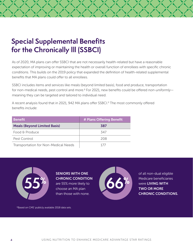# **Special Supplemental Benefits for the Chronically Ill (SSBCI)**

As of 2020, MA plans can offer SSBCI that are not necessarily health-related but have a reasonable expectation of improving or maintaining the health or overall function of enrollees with specific chronic conditions. This builds on the 2019 policy that expanded the definition of health-related supplemental benefits that MA plans could offer to all enrollees.

SSBCI includes items and services like meals (beyond limited basis), food and produce, transportation for non-medical needs, pest control and more.8 For 2021, new benefits could be offered *non-uniformly* meaning they can be targeted and tailored to individual need.

A recent analysis found that in 2021, 942 MA plans offer SSBCI.<sup>9</sup> The most commonly offered benefits include:

| <b>Benefit</b>                       | # Plans Offering Benefit |  |
|--------------------------------------|--------------------------|--|
| <b>Meals (Beyond Limited Basis)</b>  | 387                      |  |
| Food & Produce                       | 347                      |  |
| Pest Control                         | 208                      |  |
| Transportation for Non-Medical Needs | 177                      |  |



# SENIORS WITH ONE



of all non-dual eligible than those with none. CHRONIC CONDITIONS.

\*Based on CMS' publicly available 2018 data sets.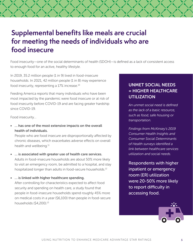## **Supplemental benefts like meals are crucial for meeting the needs of individuals who are food insecure**

Food insecurity—one of the social determinants of health (SDOH)—is defined as a lack of consistent access to enough food for an active, healthy lifestyle.

In 2019, 35.2 million people (1 in 9) lived in food-insecure households. In 2021, 42 million people (1 in 8) may experience food insecurity, representing a 17% increase.<sup>10</sup>

Feeding America reports that many individuals who have been most impacted by the pandemic were food insecure or at risk of food insecurity before COVID-19 and are facing greater hardship since COVID-19.

Food insecurity…

• … has one of the most extensive impacts on the overall health of individuals.

People who are food insecure are disproportionally affected by chronic diseases, which exacerbates adverse effects on overall health and [wellbeing.](https://wellbeing.11)<sup>11</sup>

- … is associated with greater use of health care services. Adults in food-insecure households are about 50% more likely to visit an emergency room, be admitted to a hospital, and stay hospitalized longer than adults in food-secure households.<sup>12</sup>
- … is linked with higher healthcare spending. After controlling for characteristics expected to affect food security and spending on health care, a study found that people in food-insecure households spend roughly 45% more on medical costs in a year (\$6,100) than people in food-secure households ([\\$4,200\).](https://4,200).13)<sup>13</sup>

#### UNMET SOCIAL NEEDS = HIGHER HEALTHCARE **UTILIZATION**

*An unmet social need is defined as the lack of a basic resource, such as food, safe housing or transportation.* 

*Findings from McKinsey's 2019 Consumer Health Insights and Consumer Social Determinants of Health surveys identified a link between healthcare services utilization and social needs.* 

Respondents with higher inpatient or emergency room (ER) utilization were 20-50% more likely to report difficulty in accessing food.

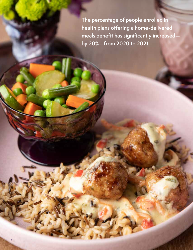**The percentage of people enrolled in**  health plans offering a home-delivered meals benefit has significantly increased **by 20%—from 2020 to 2021.** 

 $\mathbf{I}$ 

6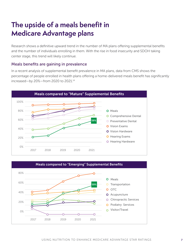# The upside of a meals benefit in **Medicare Advantage plans**

Research shows a definitive upward trend in the number of MA plans offering supplemental benefits and the number of individuals enrolling in them. With the rise in food insecurity and SDOH taking center stage, this trend will likely continue.

#### Meals benefts are gaining in prevalence

In a recent analysis of supplemental benefit prevalence in MA plans, data from CMS shows the percentage of people enrolled in health plans offering a home-delivered meals benefit has significantly increased—by 20%—from 2020 to 2021.<sup>14</sup>



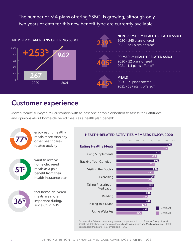The number of MA plans offering SSBCI is growing, although only two years of data for this new benefit type are currently available.



# **Customer experience**

Mom's Meals® surveyed MA customers with at least one chronic condition to assess their attitudes and opinions about home-delivered meals as a health plan benefit:



enjoy eating healthy meals more than any other healthcare-



related activity . . . . . . . . . . . . . . . . . .

want to receive home-delivered meals as a paid benefit from their health insurance plan



feel home-delivered meals are more important during/ since COVID-19

#### HEALTH-RELATED ACTIVITIES MEMBERS ENJOY, 2020



Source: Mom's Meals proprietary research in partnership with The JAY Group. August 2020. IVR telephone survey via outbound calls to Medicare and Medicaid patients; Total responders: Medicare = 1,378/Medicaid = 969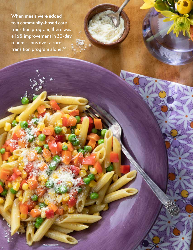**When meals were added to a community-based care transition program, there was a 16% improvement in 30-day readmissions over a care transition program [alone.20](https://alone.20)** 

USING NUTRITION TO ENHANCE MEDICARE ADVANTAGE STAR RATINGS.

9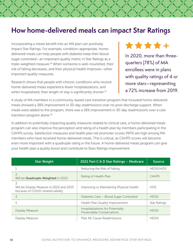### **How home-delivered meals can impact Star Ratings**

Incorporating a meals benefit into an MA plan can positively impact Star Ratings. For example, condition-appropriate, homedelivered meals can help people with diabetes keep their blood sugar controlled—an important quality metric in Star Ratings as a triple-weighted measure.<sup>18</sup> When someone is well-nourished, their risk of falling decreases, and their physical health improves—other important quality measures.

Research shows that people with chronic conditions who receive home-delivered meals experience fewer hospitalizations, and when hospitalized, their length of stay is significantly shorter.<sup>19</sup>

**+** 

In 2020, more than threequarters (78%) of MA enrollees were in plans with quality ratings of 4 or more stars—representing a 72% increase from 2019.

A study of MA members in a community-based care transition program that included home-delivered meals showed a 38% improvement in 30-day readmissions over no post-discharge support. When meals were added to the program, there was a 16% improvement in 30-day readmissions over a care transition program alone.<sup>20</sup>

In addition to potentially impacting quality measures related to clinical care, a home-delivered meals program can also improve the perception and rating of a health plan by members participating in the CAHPS survey. Satisfaction measures and health plan net promoter scores (NPS) are high among MA members who have received home-delivered meals. This is critical, as CAHPS scores will become even more important with a quadruple rating in the future. A home-delivered meals program can give your health plan a quality boost and contribute to Stars Ratings improvement.

| <b>Star Weight</b>                                                                 | 2021 Part C & D Star Ratings - Medicare                              | <b>Source</b>       |
|------------------------------------------------------------------------------------|----------------------------------------------------------------------|---------------------|
|                                                                                    | Reducing the Risk of Falling                                         | <b>HEDIS/HOS</b>    |
| $\overline{2}$<br>Will be Quadruple-Weighted in 2023                               | Rating of Health Plan                                                | <b>CAHPS</b>        |
| 3<br>Will be Display Measure in 2022 and 2023<br>because of COVID-related validity | Improving or Maintaining Physical Health                             | <b>HOS</b>          |
| 3                                                                                  | Diabetes Care - Blood Sugar Controlled                               | <b>HFDIS</b>        |
| 5                                                                                  | Health Plan Quality Improvement                                      | <b>Star Ratings</b> |
| <b>Display Measure</b>                                                             | Hospitalizations for Potentially<br><b>Preventable Complications</b> | <b>HFDIS</b>        |
| Display Measure                                                                    | Plan All-Cause Readmissions                                          | <b>HEDIS</b>        |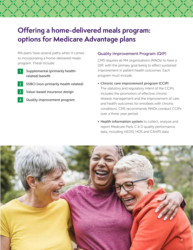# **Offering a home-delivered meals program: options for Medicare Advantage plans**

MA plans have several paths when it comes to incorporating a home-delivered meals program. These include:

**1** 

Supplemental (primarily healthrelated) benefit

- SSBCI (non-primarily health related) **2**
- Value-based insurance design **3**
- Quality improvement program **4**

#### Quality Improvement Program (QIP)

CMS requires all MA organizations (MAOs) to have a QIP, with the primary goal being to effect sustained improvement in patient health outcomes. Each program must include:

- Chronic care improvement program (CCIP) The statutory and regulatory intent of the CCIPs includes the promotion of effective chronic disease management and the improvement of care and health outcomes for enrollees with chronic conditions. CMS recommends MAOs conduct CCIPs over a three-year period.
- Health information system to collect, analyze and report Medicare Parts C & D quality performance data, including HEDIS, HOS and CAHPS data.

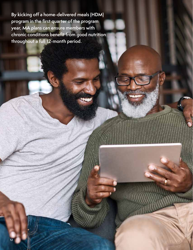By kicking off a home-delivered meals (HDM) **program in the frst quarter of the program year, MA plans can ensure members with**  chronic conditions benefit from good nutrition **throughout a full 12-month period.**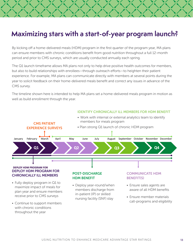### **Maximizing stars with a start-of-year program launch?**

By kicking off a home-delivered meals (HDM) program in the first quarter of the program year, MA plans can ensure members with chronic conditions benefit from good nutrition throughout a full 12-month period and prior to CMS surveys, which are usually conducted annually each spring.

The Q1 launch timeframe allows MA plans not only to help drive positive health outcomes for members, but also to build relationships with enrollees—through outreach efforts—to heighten their patient experience. For example, MA plans can communicate directly with members at several points during the year to solicit feedback on their home-delivered meals benefit and correct any issues in advance of the CMS survey.

The timeline shown here is intended to help MA plans set a home-delivered meals program in motion as well as build enrollment through the year.



#### IDENTIFY CHRONICALLY ILL MEMBERS FOR HDM BENEFIT

with chronic conditions throughout the year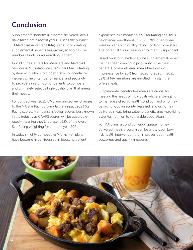# **Conclusion**

Supplemental benefits like home-delivered meals have taken off in recent years. Just as the number of Medicare Advantage (MA) plans incorporating supplemental benefits has grown, so too has the number of individuals enrolling in them.

In 2007, the Centers for Medicare and Medicaid Services (CMS) introduced its 5-Star Quality Rating System with a two-fold goal: firstly, to incentivize insurers to heighten performance, and secondly, to provide a useful tool for patients to compare and ultimately select a high-quality plan that meets their needs.

For contract year 2021, CMS announced key changes to the MA Star Ratings formula that impact 2023 Star Rating scores. Member satisfaction scores, best known in the industry as CAHPS scores, will be quadruplerated—meaning they'll represent 32% of the overall Star Rating weighting for contract year 2021.

In today's highly competitive MA market, plans have become hyper-focused in boosting patient experience as a means to a 5-Star Rating and, thus, heightened enrollment. In 2020, 78% of enrollees were in plans with quality ratings of 4 or more stars. The potential for increasing enrollment is significant.

Based on strong evidence, one supplemental benefit that has been gaining in popularity is the meals benefit. Home-delivered meals have grown in prevalence by 20% from 2020 to 2021. In 2021, 59% of MA members are enrolled in a plan that offers meals.

Supplemental benefits like meals are crucial for meeting the needs of individuals who are struggling to manage a chronic health condition and who may be facing food insecurity. Research shows homedelivered meals bring value to beneficiaries—providing essential nutrition to vulnerable populations.

For MA plans, a condition-appropriate, homedelivered meals program can be a low-cost, lowrisk health intervention that improves both health outcomes and quality measures.

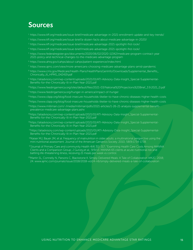### **Sources**

- 1 <https://www.kff.org/medicare/issue-brief/medicare-advantage-in-2021-enrollment-update-and-key-trends>/
- <sup>2</sup> [https://www.kff.org/medicare/issue-brief/a-dozen-facts-about-medicare-advantage-in-2020/](https://www.kff.org/medicare/issue-brief/a-dozen-facts-about-medicare-advantage-in-2020)
- $3$  <https://www.kff.org/medicare/issue-brief/medicare-advantage-2021-spotlight-first-look>/
- <sup>4</sup><https://www.kff.org/medicare/issue-brief/medicare-advantage-2021-spotlight-first-look>/
- $^{\rm 5}$  <https://www.federalregister.gov/documents/2020/06/02/2020-11342/medicare-program-contract-year>  $^{\rm 5}$ 2021-policy-and-technical-changes-to-the-medicare-advantage-program
- <sup>6</sup> <https://www.ahrq.gov/cahps/about-cahps/patient-experience/index.html>
- <sup>7</sup><https://www.ajmc.com/view/more-americans-choosing-medicare-advantage-plans-amid-pandemic>
- <sup>8</sup> [https://www.cms.gov/Medicare/Health-Plans/HealthPlansGenInfo/Downloads/Supplemental\\_Benefits\\_](https://www.cms.gov/Medicare/Health-Plans/HealthPlansGenInfo/Downloads/Supplemental_Benefits) Chronically\_Ill\_HPMS\_042419.pdf
- 9 [https://atiadvisory.com/wp-content/uploads/2021/01/ATI-Advisory-Data-Insight\\_Special-Supplemental](https://atiadvisory.com/wp-content/uploads/2021/01/ATI-Advisory-Data-Insight_Special-Supplemental)-Benefits-for-the-Chronically-Ill-in-Plan-Year-2021.pdf

10 https://www.feedingamerica.org/sites/default/files/2021-03/National%20Projections%20Brief\_3.9.2021\_0.pdf

<sup>11</sup> <https://www.feedingamerica.org/hunger-in-america/impact-of-hunger>

<sup>12</sup>https://www.cbpp.org/blog/food-insecure-households-likelier-to-have-chronic-diseases-higher-health-costs

- <sup>13</sup>[https://www.cbpp.org/blog/food-insecure-households-likelier-to-have-chronic-diseases-higher-health-costs](https://13https://www.cbpp.org/blog/food-insecure-households-likelier-to-have-chronic-diseases-higher-health-costs)
- <sup>14</sup>https://www.milliman.com/-/media/milliman/pdfs/2021-articles/1-26-21-analysis-supplemental-benefitprevalence-medicare-advantage-plans.ashx
- <sup>15</sup>https://atiadvisory.com/wp-content/uploads/2021/01/ATI-Advisory-Data-Insight\_Special-Supplemental-Benefits-for-the-Chronically-Ill-in-Plan-Year-2021.pdf
- <sup>16</sup>https://atiadvisory.com/wp-content/uploads/2021/01/ATI-Advisory-Data-Insight\_Special-Supplemental-Benefits-for-the-Chronically-Ill-in-Plan-Year-2021.pdf
- https://atiadvisory.com/wp-content/uploads/2021/01/ATI-Advisory-Data-Insight\_Special-Supplemental-17 Benefits-for-the-Chronically-Ill-in-Plan-Year-2021.pdf
- $\rm ^{18}$ Kaiser MJ, Bauer JM, et al. Frequency of malnutrition in older adults: a multinational perspective using the mini nutritional assessment. Journal of the American Geriatrics Society. 2010; 58(9):1734-1738.
- $\rm{^{19}Journal}$  of Primary Care and community Health 4(4) 311-317; "Examining Health Care Costs Among MANNA Clients and a Comparison Group; J Gurvey,et al.; 9/9/13. MANNA 65 clients at acute nutritional risk and battling life-threatening illness, receiving 21 meals per week vs control.
- $^{20}$ Martin SL, Connelly N, Parsons C, Blackstone K. Simply Delivered Meals: A Tale of Collaboration AMJC. 2018; www.ajmc.com/journals/issue/2018/2018-vol24-n6/simply-delivered-meals-a-tale-of-collaboration 24.